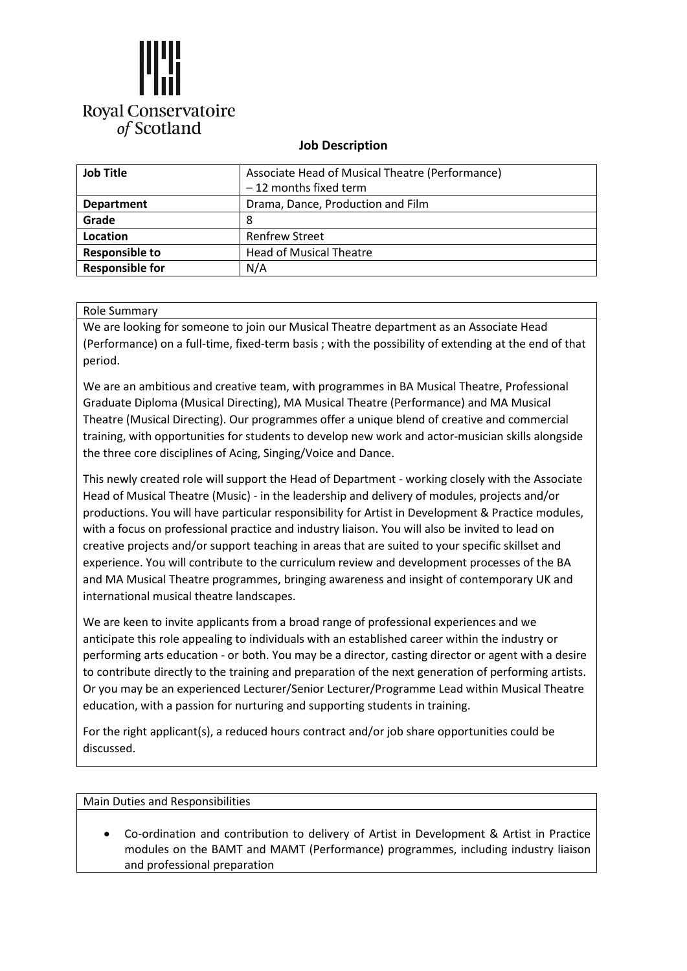

## **Job Description**

| <b>Job Title</b>       | Associate Head of Musical Theatre (Performance)<br>$-12$ months fixed term |
|------------------------|----------------------------------------------------------------------------|
| <b>Department</b>      | Drama, Dance, Production and Film                                          |
| Grade                  | 8                                                                          |
| Location               | <b>Renfrew Street</b>                                                      |
| <b>Responsible to</b>  | <b>Head of Musical Theatre</b>                                             |
| <b>Responsible for</b> | N/A                                                                        |

## Role Summary

We are looking for someone to join our Musical Theatre department as an Associate Head (Performance) on a full-time, fixed-term basis ; with the possibility of extending at the end of that period.

We are an ambitious and creative team, with programmes in BA Musical Theatre, Professional Graduate Diploma (Musical Directing), MA Musical Theatre (Performance) and MA Musical Theatre (Musical Directing). Our programmes offer a unique blend of creative and commercial training, with opportunities for students to develop new work and actor-musician skills alongside the three core disciplines of Acing, Singing/Voice and Dance.

This newly created role will support the Head of Department - working closely with the Associate Head of Musical Theatre (Music) - in the leadership and delivery of modules, projects and/or productions. You will have particular responsibility for Artist in Development & Practice modules, with a focus on professional practice and industry liaison. You will also be invited to lead on creative projects and/or support teaching in areas that are suited to your specific skillset and experience. You will contribute to the curriculum review and development processes of the BA and MA Musical Theatre programmes, bringing awareness and insight of contemporary UK and international musical theatre landscapes.

We are keen to invite applicants from a broad range of professional experiences and we anticipate this role appealing to individuals with an established career within the industry or performing arts education - or both. You may be a director, casting director or agent with a desire to contribute directly to the training and preparation of the next generation of performing artists. Or you may be an experienced Lecturer/Senior Lecturer/Programme Lead within Musical Theatre education, with a passion for nurturing and supporting students in training.

For the right applicant(s), a reduced hours contract and/or job share opportunities could be discussed.

Main Duties and Responsibilities

• Co-ordination and contribution to delivery of Artist in Development & Artist in Practice modules on the BAMT and MAMT (Performance) programmes, including industry liaison and professional preparation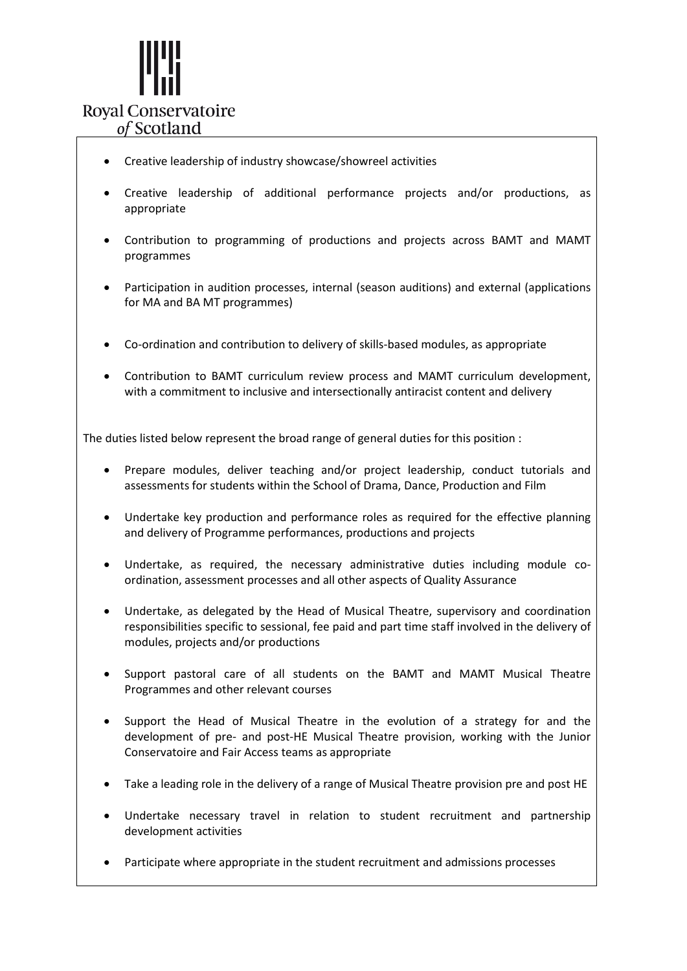

- Creative leadership of industry showcase/showreel activities
- Creative leadership of additional performance projects and/or productions, as appropriate
- Contribution to programming of productions and projects across BAMT and MAMT programmes
- Participation in audition processes, internal (season auditions) and external (applications for MA and BA MT programmes)
- Co-ordination and contribution to delivery of skills-based modules, as appropriate
- Contribution to BAMT curriculum review process and MAMT curriculum development, with a commitment to inclusive and intersectionally antiracist content and delivery

The duties listed below represent the broad range of general duties for this position :

- Prepare modules, deliver teaching and/or project leadership, conduct tutorials and assessments for students within the School of Drama, Dance, Production and Film
- Undertake key production and performance roles as required for the effective planning and delivery of Programme performances, productions and projects
- Undertake, as required, the necessary administrative duties including module coordination, assessment processes and all other aspects of Quality Assurance
- Undertake, as delegated by the Head of Musical Theatre, supervisory and coordination responsibilities specific to sessional, fee paid and part time staff involved in the delivery of modules, projects and/or productions
- Support pastoral care of all students on the BAMT and MAMT Musical Theatre Programmes and other relevant courses
- Support the Head of Musical Theatre in the evolution of a strategy for and the development of pre- and post-HE Musical Theatre provision, working with the Junior Conservatoire and Fair Access teams as appropriate
- Take a leading role in the delivery of a range of Musical Theatre provision pre and post HE
- Undertake necessary travel in relation to student recruitment and partnership development activities
- Participate where appropriate in the student recruitment and admissions processes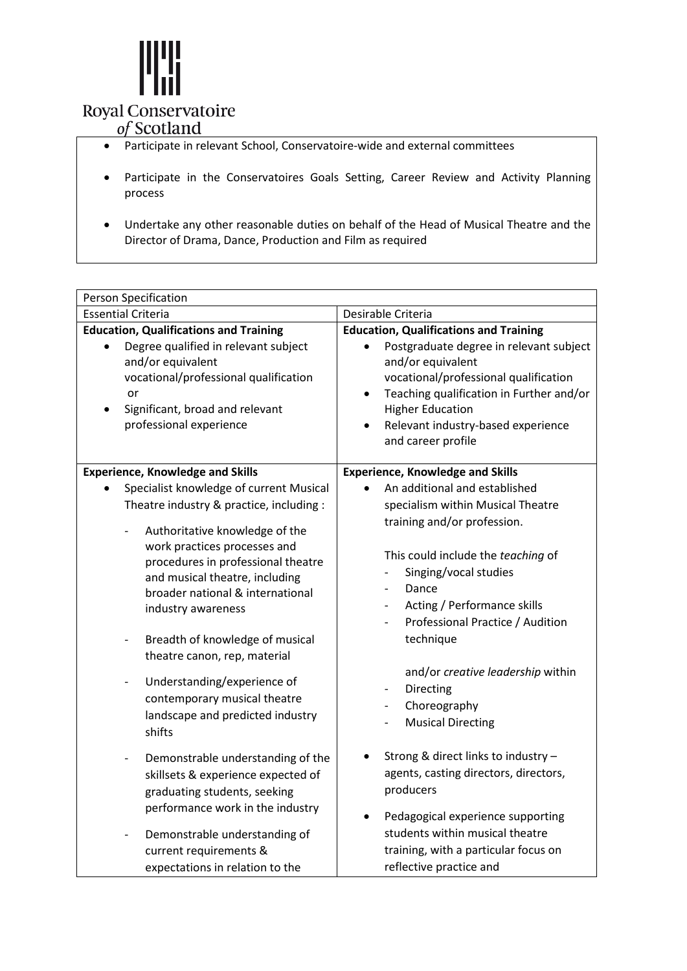

# Royal Conservatoire<br>of Scotland

- Participate in relevant School, Conservatoire-wide and external committees
- Participate in the Conservatoires Goals Setting, Career Review and Activity Planning process
- Undertake any other reasonable duties on behalf of the Head of Musical Theatre and the Director of Drama, Dance, Production and Film as required

| Person Specification                                                                                                                                                                                                                                                                                                                                                                                                                     |                                                                                                                                                                                                                                                                                |  |  |  |
|------------------------------------------------------------------------------------------------------------------------------------------------------------------------------------------------------------------------------------------------------------------------------------------------------------------------------------------------------------------------------------------------------------------------------------------|--------------------------------------------------------------------------------------------------------------------------------------------------------------------------------------------------------------------------------------------------------------------------------|--|--|--|
| <b>Essential Criteria</b>                                                                                                                                                                                                                                                                                                                                                                                                                | Desirable Criteria                                                                                                                                                                                                                                                             |  |  |  |
| <b>Education, Qualifications and Training</b>                                                                                                                                                                                                                                                                                                                                                                                            | <b>Education, Qualifications and Training</b>                                                                                                                                                                                                                                  |  |  |  |
| Degree qualified in relevant subject<br>and/or equivalent<br>vocational/professional qualification<br>or<br>Significant, broad and relevant<br>professional experience                                                                                                                                                                                                                                                                   | Postgraduate degree in relevant subject<br>and/or equivalent<br>vocational/professional qualification<br>Teaching qualification in Further and/or<br>$\bullet$<br><b>Higher Education</b><br>Relevant industry-based experience<br>and career profile                          |  |  |  |
| <b>Experience, Knowledge and Skills</b>                                                                                                                                                                                                                                                                                                                                                                                                  | <b>Experience, Knowledge and Skills</b>                                                                                                                                                                                                                                        |  |  |  |
| Specialist knowledge of current Musical<br>Theatre industry & practice, including :                                                                                                                                                                                                                                                                                                                                                      | An additional and established<br>specialism within Musical Theatre<br>training and/or profession.                                                                                                                                                                              |  |  |  |
| Authoritative knowledge of the<br>work practices processes and<br>procedures in professional theatre<br>and musical theatre, including<br>broader national & international<br>industry awareness<br>Breadth of knowledge of musical<br>$\overline{\phantom{a}}$<br>theatre canon, rep, material<br>Understanding/experience of<br>$\overline{\phantom{a}}$<br>contemporary musical theatre<br>landscape and predicted industry<br>shifts | This could include the teaching of<br>Singing/vocal studies<br>Dance<br>Acting / Performance skills<br>$\overline{\phantom{a}}$<br>Professional Practice / Audition<br>technique<br>and/or creative leadership within<br>Directing<br>Choreography<br><b>Musical Directing</b> |  |  |  |
| Demonstrable understanding of the<br>$\overline{\phantom{a}}$<br>skillsets & experience expected of<br>graduating students, seeking                                                                                                                                                                                                                                                                                                      | Strong & direct links to industry -<br>٠<br>agents, casting directors, directors,<br>producers                                                                                                                                                                                 |  |  |  |
| performance work in the industry<br>Demonstrable understanding of<br>$\qquad \qquad \blacksquare$<br>current requirements &<br>expectations in relation to the                                                                                                                                                                                                                                                                           | Pedagogical experience supporting<br>students within musical theatre<br>training, with a particular focus on<br>reflective practice and                                                                                                                                        |  |  |  |